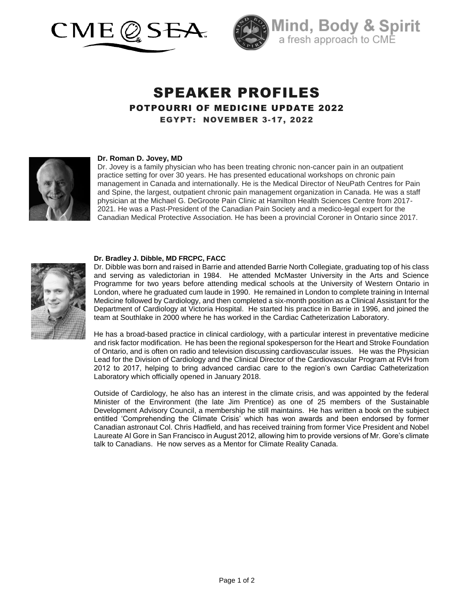



# SPEAKER PROFILES POTPOURRI OF MEDICINE UPDATE 2022 EGYPT: NOVEMBER 3-17, 2022



### **Dr. Roman D. Jovey, MD**

Dr. Jovey is a family physician who has been treating chronic non-cancer pain in an outpatient practice setting for over 30 years. He has presented educational workshops on chronic pain management in Canada and internationally. He is the Medical Director of NeuPath Centres for Pain and Spine, the largest, outpatient chronic pain management organization in Canada. He was a staff physician at the Michael G. DeGroote Pain Clinic at Hamilton Health Sciences Centre from 2017- 2021. He was a Past-President of the Canadian Pain Society and a medico-legal expert for the Canadian Medical Protective Association. He has been a provincial Coroner in Ontario since 2017.



#### **Dr. Bradley J. Dibble, MD FRCPC, FACC**

Dr. Dibble was born and raised in Barrie and attended Barrie North Collegiate, graduating top of his class and serving as valedictorian in 1984. He attended McMaster University in the Arts and Science Programme for two years before attending medical schools at the University of Western Ontario in London, where he graduated cum laude in 1990. He remained in London to complete training in Internal Medicine followed by Cardiology, and then completed a six-month position as a Clinical Assistant for the Department of Cardiology at Victoria Hospital. He started his practice in Barrie in 1996, and joined the team at Southlake in 2000 where he has worked in the Cardiac Catheterization Laboratory.

He has a broad-based practice in clinical cardiology, with a particular interest in preventative medicine and risk factor modification. He has been the regional spokesperson for the Heart and Stroke Foundation of Ontario, and is often on radio and television discussing cardiovascular issues. He was the Physician Lead for the Division of Cardiology and the Clinical Director of the Cardiovascular Program at RVH from 2012 to 2017, helping to bring advanced cardiac care to the region's own Cardiac Catheterization Laboratory which officially opened in January 2018.

Outside of Cardiology, he also has an interest in the climate crisis, and was appointed by the federal Minister of the Environment (the late Jim Prentice) as one of 25 members of the Sustainable Development Advisory Council, a membership he still maintains. He has written a book on the subject entitled 'Comprehending the Climate Crisis' which has won awards and been endorsed by former Canadian astronaut Col. Chris Hadfield, and has received training from former Vice President and Nobel Laureate Al Gore in San Francisco in August 2012, allowing him to provide versions of Mr. Gore's climate talk to Canadians. He now serves as a Mentor for Climate Reality Canada.